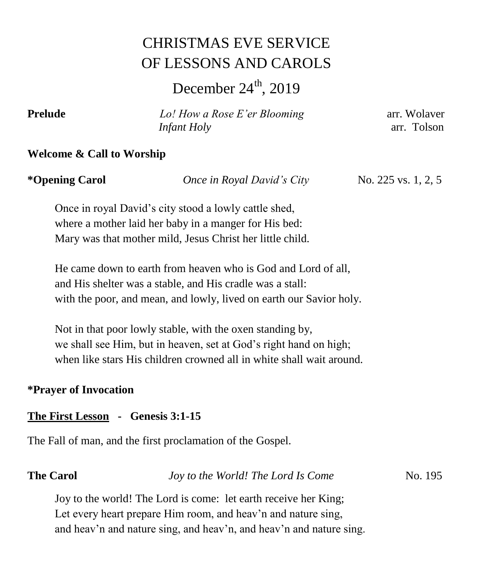# CHRISTMAS EVE SERVICE OF LESSONS AND CAROLS

# December  $24^{\text{th}}$ , 2019

**Prelude** *Lo! How a Rose E'er Blooming* arr. Wolaver *Infant Holy* arr. Tolson

### **Welcome & Call to Worship**

| *Opening Carol | Once in Royal David's City | No. 225 vs. 1, 2, 5 |
|----------------|----------------------------|---------------------|
|----------------|----------------------------|---------------------|

Once in royal David's city stood a lowly cattle shed, where a mother laid her baby in a manger for His bed: Mary was that mother mild, Jesus Christ her little child.

He came down to earth from heaven who is God and Lord of all, and His shelter was a stable, and His cradle was a stall: with the poor, and mean, and lowly, lived on earth our Savior holy.

Not in that poor lowly stable, with the oxen standing by, we shall see Him, but in heaven, set at God's right hand on high; when like stars His children crowned all in white shall wait around.

### **\*Prayer of Invocation**

### **The First Lesson - Genesis 3:1-15**

The Fall of man, and the first proclamation of the Gospel.

| <b>The Carol</b> | Joy to the World! The Lord Is Come                                  | No. 195 |
|------------------|---------------------------------------------------------------------|---------|
|                  | Joy to the world! The Lord is come: let earth receive her King;     |         |
|                  | Let every heart prepare Him room, and heav'n and nature sing,       |         |
|                  | and heav'n and nature sing, and heav'n, and heav'n and nature sing. |         |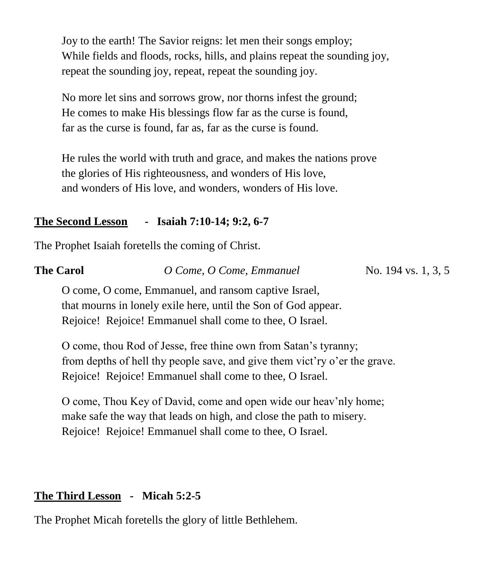Joy to the earth! The Savior reigns: let men their songs employ; While fields and floods, rocks, hills, and plains repeat the sounding joy, repeat the sounding joy, repeat, repeat the sounding joy.

No more let sins and sorrows grow, nor thorns infest the ground; He comes to make His blessings flow far as the curse is found, far as the curse is found, far as, far as the curse is found.

He rules the world with truth and grace, and makes the nations prove the glories of His righteousness, and wonders of His love, and wonders of His love, and wonders, wonders of His love.

### **The Second Lesson - Isaiah 7:10-14; 9:2, 6-7**

The Prophet Isaiah foretells the coming of Christ.

| <b>The Carol</b> | O Come, O Come, Emmanuel                                       | No. 194 vs. 1, 3, 5 |
|------------------|----------------------------------------------------------------|---------------------|
|                  | O come, O come, Emmanuel, and ransom captive Israel,           |                     |
|                  | that mourns in lonely exile here, until the Son of God appear. |                     |
|                  | Rejoice! Rejoice! Emmanuel shall come to thee, O Israel.       |                     |

O come, thou Rod of Jesse, free thine own from Satan's tyranny; from depths of hell thy people save, and give them vict'ry o'er the grave. Rejoice! Rejoice! Emmanuel shall come to thee, O Israel.

O come, Thou Key of David, come and open wide our heav'nly home; make safe the way that leads on high, and close the path to misery. Rejoice! Rejoice! Emmanuel shall come to thee, O Israel.

## **The Third Lesson - Micah 5:2-5**

The Prophet Micah foretells the glory of little Bethlehem.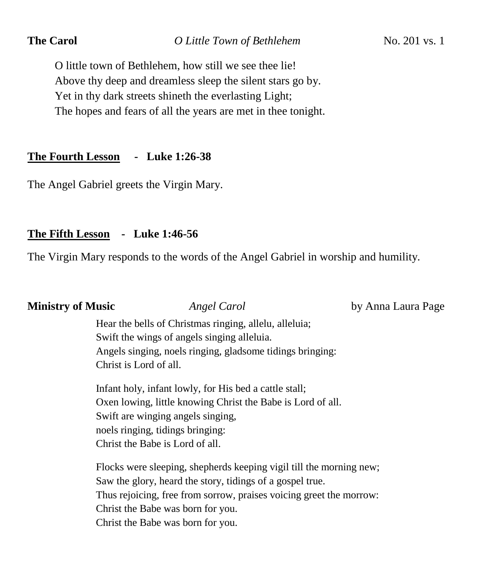O little town of Bethlehem, how still we see thee lie! Above thy deep and dreamless sleep the silent stars go by. Yet in thy dark streets shineth the everlasting Light; The hopes and fears of all the years are met in thee tonight.

### **The Fourth Lesson - Luke 1:26-38**

The Angel Gabriel greets the Virgin Mary.

### **The Fifth Lesson - Luke 1:46-56**

The Virgin Mary responds to the words of the Angel Gabriel in worship and humility.

**Ministry of Music** *Angel Carol* by Anna Laura Page

Hear the bells of Christmas ringing, allelu, alleluia; Swift the wings of angels singing alleluia. Angels singing, noels ringing, gladsome tidings bringing: Christ is Lord of all.

Infant holy, infant lowly, for His bed a cattle stall; Oxen lowing, little knowing Christ the Babe is Lord of all. Swift are winging angels singing, noels ringing, tidings bringing: Christ the Babe is Lord of all.

Flocks were sleeping, shepherds keeping vigil till the morning new; Saw the glory, heard the story, tidings of a gospel true. Thus rejoicing, free from sorrow, praises voicing greet the morrow: Christ the Babe was born for you. Christ the Babe was born for you.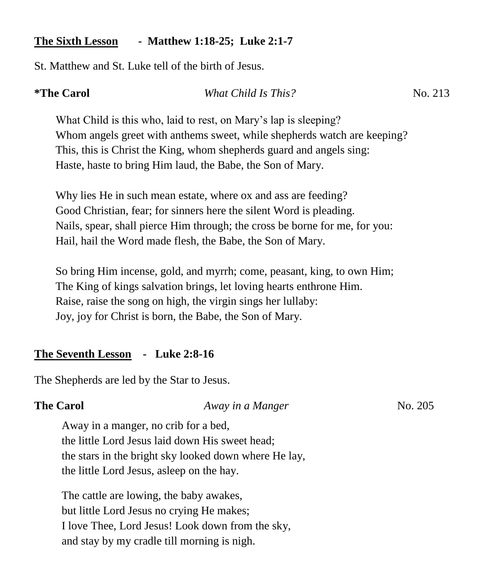### **The Sixth Lesson - Matthew 1:18-25; Luke 2:1-7**

St. Matthew and St. Luke tell of the birth of Jesus.

### **\*The Carol** *What Child Is This?* No. 213

What Child is this who, laid to rest, on Mary's lap is sleeping? Whom angels greet with anthems sweet, while shepherds watch are keeping? This, this is Christ the King, whom shepherds guard and angels sing: Haste, haste to bring Him laud, the Babe, the Son of Mary.

Why lies He in such mean estate, where ox and ass are feeding? Good Christian, fear; for sinners here the silent Word is pleading. Nails, spear, shall pierce Him through; the cross be borne for me, for you: Hail, hail the Word made flesh, the Babe, the Son of Mary.

So bring Him incense, gold, and myrrh; come, peasant, king, to own Him; The King of kings salvation brings, let loving hearts enthrone Him. Raise, raise the song on high, the virgin sings her lullaby: Joy, joy for Christ is born, the Babe, the Son of Mary.

### **The Seventh Lesson - Luke 2:8-16**

The Shepherds are led by the Star to Jesus.

| <b>The Carol</b> | Away in a Manger                                      | No. 205 |
|------------------|-------------------------------------------------------|---------|
|                  | Away in a manger, no crib for a bed,                  |         |
|                  | the little Lord Jesus laid down His sweet head;       |         |
|                  | the stars in the bright sky looked down where He lay, |         |
|                  | the little Lord Jesus, as leep on the hay.            |         |
|                  | The cattle are lowing, the baby awakes,               |         |
|                  | but little Lord Jesus no crying He makes;             |         |
|                  | I love Thee, Lord Jesus! Look down from the sky,      |         |

and stay by my cradle till morning is nigh.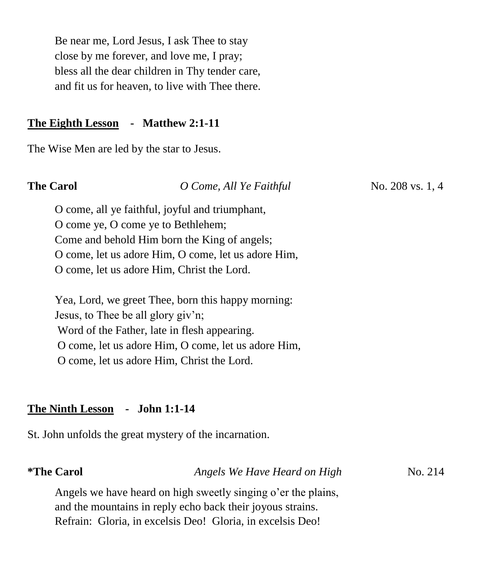Be near me, Lord Jesus, I ask Thee to stay close by me forever, and love me, I pray; bless all the dear children in Thy tender care, and fit us for heaven, to live with Thee there.

### **The Eighth Lesson - Matthew 2:1-11**

The Wise Men are led by the star to Jesus.

| <b>The Carol</b>                           | O Come, All Ye Faithful                             | No. 208 vs. 1, 4 |
|--------------------------------------------|-----------------------------------------------------|------------------|
|                                            | O come, all ye faithful, joyful and triumphant,     |                  |
|                                            | O come ye, O come ye to Bethlehem;                  |                  |
|                                            | Come and behold Him born the King of angels;        |                  |
|                                            | O come, let us adore Him, O come, let us adore Him, |                  |
| O come, let us adore Him, Christ the Lord. |                                                     |                  |
|                                            | Yea, Lord, we greet Thee, born this happy morning:  |                  |
| Jesus, to Thee be all glory giv'n;         |                                                     |                  |
|                                            | Word of the Father, late in flesh appearing.        |                  |
|                                            | O come, let us adore Him, O come, let us adore Him, |                  |
|                                            | O come, let us adore Him, Christ the Lord.          |                  |
|                                            |                                                     |                  |

### **The Ninth Lesson - John 1:1-14**

St. John unfolds the great mystery of the incarnation.

**\*The Carol** *Angels We Have Heard on High* No. 214

Angels we have heard on high sweetly singing o'er the plains, and the mountains in reply echo back their joyous strains. Refrain: Gloria, in excelsis Deo! Gloria, in excelsis Deo!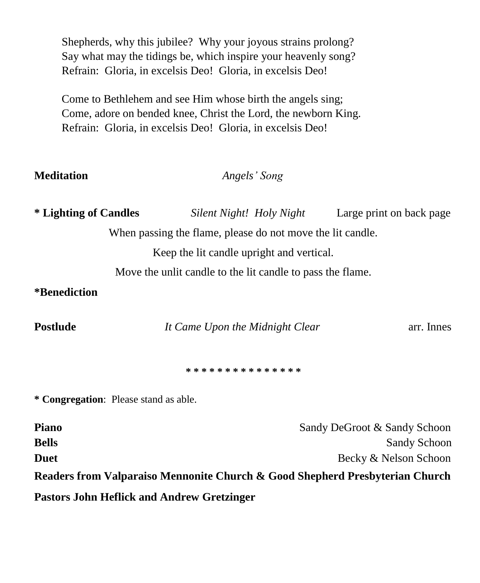Shepherds, why this jubilee? Why your joyous strains prolong? Say what may the tidings be, which inspire your heavenly song? Refrain: Gloria, in excelsis Deo! Gloria, in excelsis Deo!

Come to Bethlehem and see Him whose birth the angels sing; Come, adore on bended knee, Christ the Lord, the newborn King. Refrain: Gloria, in excelsis Deo! Gloria, in excelsis Deo!

**Meditation** *Angels' Song*

**\* Lighting of Candles** *Silent Night! Holy Night* Large print on back page When passing the flame, please do not move the lit candle. Keep the lit candle upright and vertical. Move the unlit candle to the lit candle to pass the flame.

### **\*Benediction**

**Postlude** *It Came Upon the Midnight Clear* **arr.** Innes

### **\* \* \* \* \* \* \* \* \* \* \* \* \* \* \***

**\* Congregation**: Please stand as able.

| <b>Piano</b>                                                                 | Sandy DeGroot & Sandy Schoon |
|------------------------------------------------------------------------------|------------------------------|
| <b>Bells</b>                                                                 | <b>Sandy Schoon</b>          |
| <b>Duet</b>                                                                  | Becky & Nelson Schoon        |
| Readers from Valparaiso Mennonite Church & Good Shepherd Presbyterian Church |                              |
| <b>Pastors John Heflick and Andrew Gretzinger</b>                            |                              |